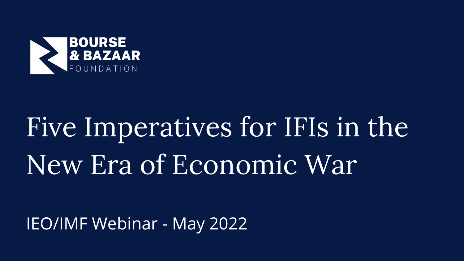

# Five Imperatives for IFIs in the New Era of Economic War

## IEO/IMF Webinar - May 2022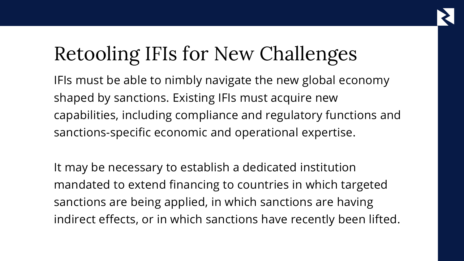# Retooling IFIs for New Challenges

IFIs must be able to nimbly navigate the new global economy shaped by sanctions. Existing IFIs must acquire new capabilities, including compliance and regulatory functions and sanctions-specific economic and operational expertise.

It may be necessary to establish a dedicated institution mandated to extend financing to countries in which targeted sanctions are being applied, in which sanctions are having indirect effects, or in which sanctions have recently been lifted.



- 
- 
- 
- 
-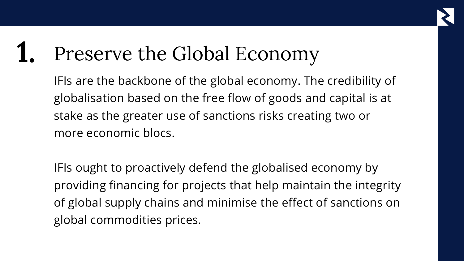IFIs are the backbone of the global economy. The credibility of globalisation based on the free flow of goods and capital is at stake as the greater use of sanctions risks creating two or more economic blocs.

### Preserve the Global Economy **1.**

IFIs ought to proactively defend the globalised economy by providing financing for projects that help maintain the integrity of global supply chains and minimise the effect of sanctions on global commodities prices.

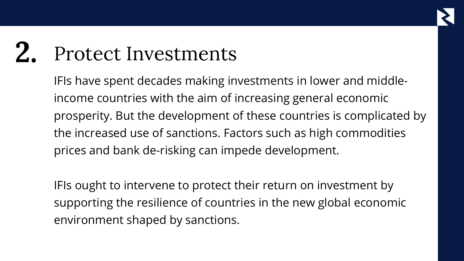IFIs have spent decades making investments in lower and middleincome countries with the aim of increasing general economic prosperity. But the development of these countries is complicated by the increased use of sanctions. Factors such as high commodities prices and bank de-risking can impede development.

### Protect Investments **2.**

IFIs ought to intervene to protect their return on investment by supporting the resilience of countries in the new global economic environment shaped by sanctions.

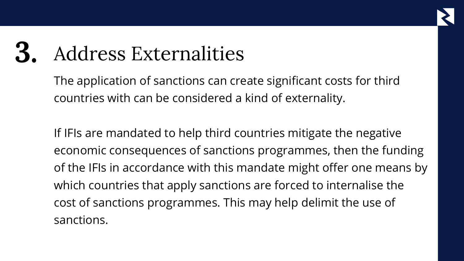The application of sanctions can create significant costs for third countries with can be considered a kind of externality.

### Address Externalities **3.**

If IFIs are mandated to help third countries mitigate the negative economic consequences of sanctions programmes, then the funding of the IFIs in accordance with this mandate might offer one means by which countries that apply sanctions are forced to internalise the cost of sanctions programmes. This may help delimit the use of sanctions.

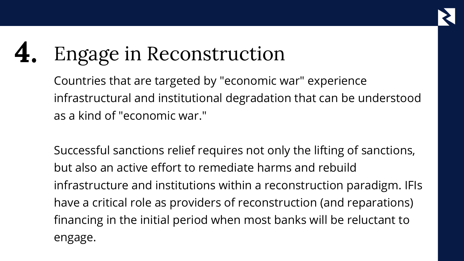Countries that are targeted by "economic war" experience infrastructural and institutional degradation that can be understood as a kind of "economic war."

### Engage in Reconstruction **4.**

Successful sanctions relief requires not only the lifting of sanctions, but also an active effort to remediate harms and rebuild infrastructure and institutions within a reconstruction paradigm. IFIs have a critical role as providers of reconstruction (and reparations) financing in the initial period when most banks will be reluctant to engage.

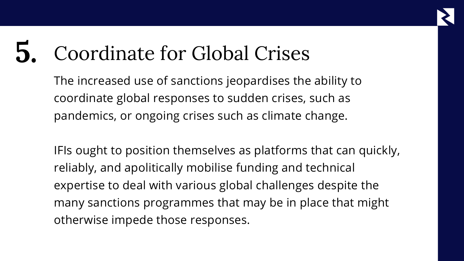The increased use of sanctions jeopardises the ability to coordinate global responses to sudden crises, such as pandemics, or ongoing crises such as climate change.

### Coordinate for Global Crises **5.**

IFIs ought to position themselves as platforms that can quickly, reliably, and apolitically mobilise funding and technical expertise to deal with various global challenges despite the many sanctions programmes that may be in place that might otherwise impede those responses.